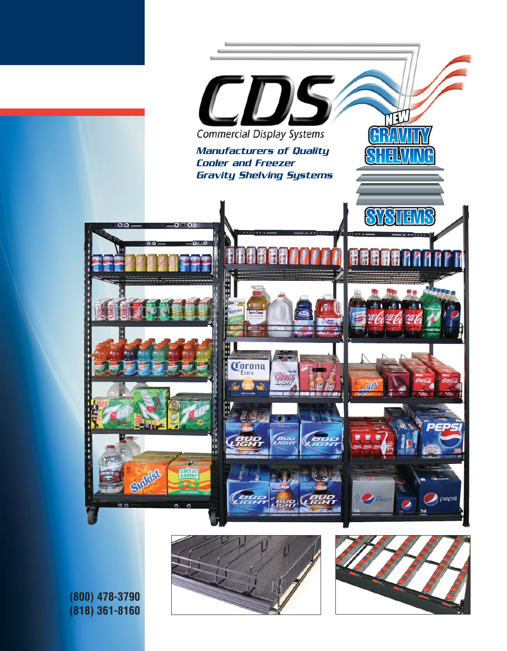